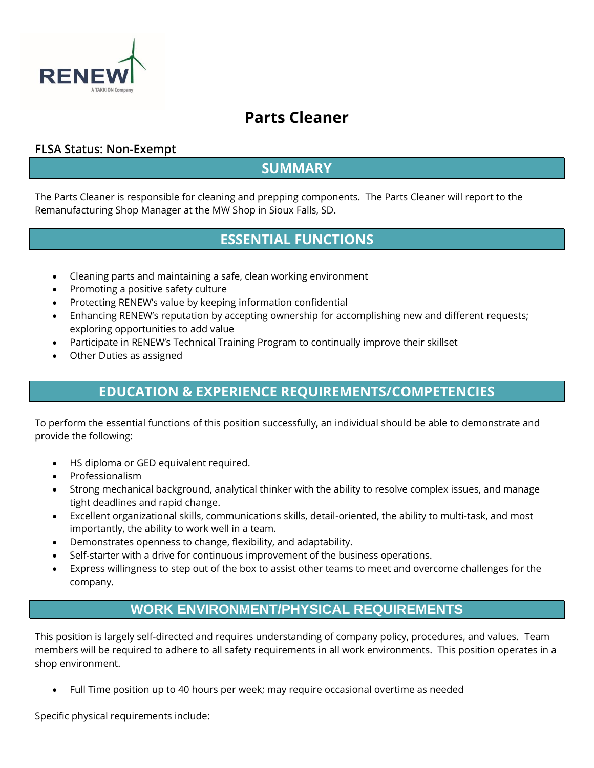

# **Parts Cleaner**

#### **FLSA Status: Non-Exempt**

### **SUMMARY**

The Parts Cleaner is responsible for cleaning and prepping components. The Parts Cleaner will report to the Remanufacturing Shop Manager at the MW Shop in Sioux Falls, SD.

# **ESSENTIAL FUNCTIONS**

- Cleaning parts and maintaining a safe, clean working environment
- Promoting a positive safety culture
- Protecting RENEW's value by keeping information confidential
- Enhancing RENEW's reputation by accepting ownership for accomplishing new and different requests; exploring opportunities to add value
- Participate in RENEW's Technical Training Program to continually improve their skillset
- Other Duties as assigned

# **EDUCATION & EXPERIENCE REQUIREMENTS/COMPETENCIES**

To perform the essential functions of this position successfully, an individual should be able to demonstrate and provide the following:

- HS diploma or GED equivalent required.
- Professionalism
- Strong mechanical background, analytical thinker with the ability to resolve complex issues, and manage tight deadlines and rapid change.
- Excellent organizational skills, communications skills, detail-oriented, the ability to multi-task, and most importantly, the ability to work well in a team.
- Demonstrates openness to change, flexibility, and adaptability.
- Self-starter with a drive for continuous improvement of the business operations.
- Express willingness to step out of the box to assist other teams to meet and overcome challenges for the company.

### **WORK ENVIRONMENT/PHYSICAL REQUIREMENTS**

This position is largely self-directed and requires understanding of company policy, procedures, and values. Team members will be required to adhere to all safety requirements in all work environments. This position operates in a shop environment.

• Full Time position up to 40 hours per week; may require occasional overtime as needed

Specific physical requirements include: